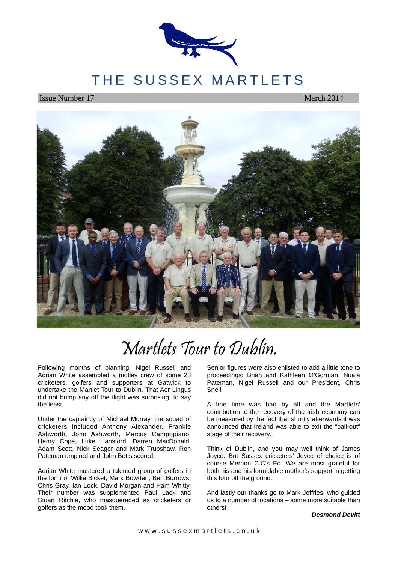

# THE SUSSEX MARTLETS

**Issue Number 17** March 2014



# Martlets Tour to Dublin.

Following months of planning, Nigel Russell and Adrian White assembled a motley crew of some 28 cricketers, golfers and supporters at Gatwick to undertake the Martlet Tour to Dublin. That Aer Lingus did not bump any off the flight was surprising, to say the least.

Under the captaincy of Michael Murray, the squad of cricketers included Anthony Alexander, Frankie Ashworth, John Ashworth, Marcus Campopiano, Henry Cope, Luke Hansford, Darren MacDonald, Adam Scott, Nick Seager and Mark Trubshaw. Ron Pateman umpired and John Betts scored.

Adrian White mustered a talented group of golfers in the form of Willie Bicket, Mark Bowden, Ben Burrows, Chris Gray, Ian Lock, David Morgan and Ham Whitty. Their number was supplemented Paul Lack and Stuart Ritchie, who masqueraded as cricketers or golfers as the mood took them.

Senior figures were also enlisted to add a little tone to proceedings: Brian and Kathleen O'Gorman, Nuala Pateman, Nigel Russell and our President, Chris Snell.

A fine time was had by all and the Martlets' contribution to the recovery of the Irish economy can be measured by the fact that shortly afterwards it was announced that Ireland was able to exit the "bail-out" stage of their recovery.

Think of Dublin, and you may well think of James Joyce. But Sussex cricketers' Joyce of choice is of course Merrion C.C's Ed. We are most grateful for both his and his formidable mother's support in getting this tour off the ground.

And lastly our thanks go to Mark Jeffries, who guided us to a number of locations – some more suitable than others!

#### **Desmond Devitt**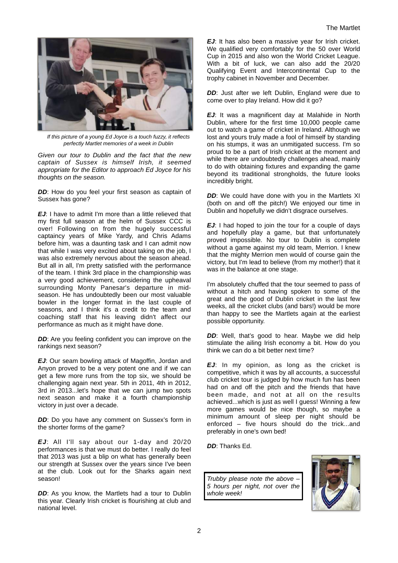

If this picture of a young Ed Joyce is a touch fuzzy, it reflects perfectly Martlet memories of a week in Dublin

Given our tour to Dublin and the fact that the new captain of Sussex is himself Irish, it seemed appropriate for the Editor to approach Ed Joyce for his thoughts on the season.

**DD:** How do you feel your first season as captain of Sussex has gone?

**EJ**: I have to admit I'm more than a little relieved that my first full season at the helm of Sussex CCC is over! Following on from the hugely successful captaincy years of Mike Yardy, and Chris Adams before him, was a daunting task and I can admit now that while I was very excited about taking on the job, I was also extremely nervous about the season ahead. But all in all, I'm pretty satisfied with the performance of the team. I think 3rd place in the championship was a very good achievement, considering the upheaval surrounding Monty Panesar's departure in midseason. He has undoubtedly been our most valuable bowler in the longer format in the last couple of seasons, and I think it's a credit to the team and coaching staff that his leaving didn't affect our performance as much as it might have done.

**DD:** Are you feeling confident you can improve on the rankings next season?

**EJ**: Our seam bowling attack of Magoffin, Jordan and Anyon proved to be a very potent one and if we can get a few more runs from the top six, we should be challenging again next year. 5th in 2011, 4th in 2012, 3rd in 2013...let's hope that we can jump two spots next season and make it a fourth championship victory in just over a decade.

**DD:** Do you have any comment on Sussex's form in the shorter forms of the game?

**EJ**: All I'll say about our 1-day and 20/20 performances is that we must do better. I really do feel that 2013 was just a blip on what has generally been our strength at Sussex over the years since I've been at the club. Look out for the Sharks again next season!

**DD:** As you know, the Martlets had a tour to Dublin this year. Clearly Irish cricket is flourishing at club and national level.

**EJ**: It has also been a massive year for Irish cricket. We qualified very comfortably for the 50 over World Cup in 2015 and also won the World Cricket League. With a bit of luck, we can also add the 20/20 Qualifying Event and Intercontinental Cup to the trophy cabinet in November and December.

**DD:** Just after we left Dublin, England were due to come over to play Ireland. How did it go?

**EJ**: It was a magnificent day at Malahide in North Dublin, where for the first time 10,000 people came out to watch a game of cricket in Ireland. Although we lost and yours truly made a fool of himself by standing on his stumps, it was an unmitigated success. I'm so proud to be a part of Irish cricket at the moment and while there are undoubtedly challenges ahead, mainly to do with obtaining fixtures and expanding the game beyond its traditional strongholds, the future looks incredibly bright.

**DD:** We could have done with you in the Martlets XI (both on and off the pitch!) We enjoyed our time in Dublin and hopefully we didn't disgrace ourselves.

**EJ:** I had hoped to join the tour for a couple of days and hopefully play a game, but that unfortunately proved impossible. No tour to Dublin is complete without a game against my old team, Merrion. I knew that the mighty Merrion men would of course gain the victory, but I'm lead to believe (from my mother!) that it was in the balance at one stage.

I'm absolutely chuffed that the tour seemed to pass of without a hitch and having spoken to some of the great and the good of Dublin cricket in the last few weeks, all the cricket clubs (and bars!) would be more than happy to see the Martlets again at the earliest possible opportunity.

**DD:** Well, that's good to hear. Maybe we did help stimulate the ailing Irish economy a bit. How do you think we can do a bit better next time?

**EJ**: In my opinion, as long as the cricket is competitive, which it was by all accounts, a successful club cricket tour is judged by how much fun has been had on and off the pitch and the friends that have been made, and not at all on the results achieved...which is just as well I guess! Winning a few more games would be nice though, so maybe a minimum amount of sleep per night should be enforced – five hours should do the trick...and preferably in one's own bed!

**DD**: Thanks Ed.

Trubby please note the above – 5 hours per night, not over the whole week!

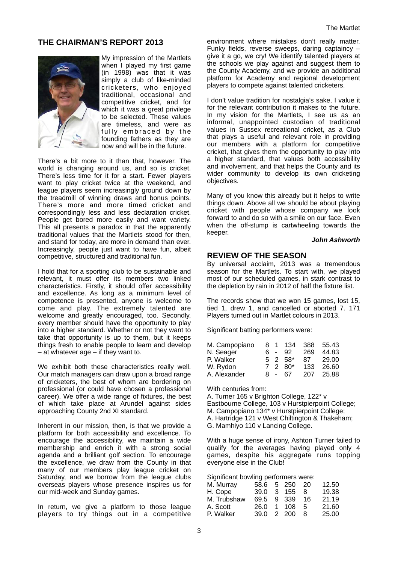# **THE CHAIRMAN'S REPORT 2013**



My impression of the Martlets when I played my first game (in 1998) was that it was simply a club of like-minded cricketers, who enjoyed traditional, occasional and competitive cricket, and for which it was a great privilege to be selected. These values are timeless, and were as fully embraced by the founding fathers as they are now and will be in the future.

There's a bit more to it than that, however. The world is changing around us, and so is cricket. There's less time for it for a start. Fewer players want to play cricket twice at the weekend, and league players seem increasingly ground down by the treadmill of winning draws and bonus points. There's more and more timed cricket and correspondingly less and less declaration cricket. People get bored more easily and want variety. This all presents a paradox in that the apparently traditional values that the Martlets stood for then, and stand for today, are more in demand than ever. Increasingly, people just want to have fun, albeit competitive, structured and traditional fun.

I hold that for a sporting club to be sustainable and relevant, it must offer its members two linked characteristics. Firstly, it should offer accessibility and excellence. As long as a minimum level of competence is presented, anyone is welcome to come and play. The extremely talented are welcome and greatly encouraged, too. Secondly, every member should have the opportunity to play into a higher standard. Whether or not they want to take that opportunity is up to them, but it keeps things fresh to enable people to learn and develop – at whatever age – if they want to.

We exhibit both these characteristics really well. Our match managers can draw upon a broad range of cricketers, the best of whom are bordering on professional (or could have chosen a professional career). We offer a wide range of fixtures, the best of which take place at Arundel against sides approaching County 2nd XI standard.

Inherent in our mission, then, is that we provide a platform for both accessibility and excellence. To encourage the accessibility, we maintain a wide membership and enrich it with a strong social agenda and a brilliant golf section. To encourage the excellence, we draw from the County in that many of our members play league cricket on Saturday, and we borrow from the league clubs overseas players whose presence inspires us for our mid-week and Sunday games.

In return, we give a platform to those league players to try things out in a competitive

environment where mistakes don't really matter. Funky fields, reverse sweeps, daring captaincy – give it a go, we cry! We identify talented players at the schools we play against and suggest them to the County Academy, and we provide an additional platform for Academy and regional development players to compete against talented cricketers.

I don't value tradition for nostalgia's sake, I value it for the relevant contribution it makes to the future. In my vision for the Martlets, I see us as an informal, unappointed custodian of traditional values in Sussex recreational cricket, as a Club that plays a useful and relevant role in providing our members with a platform for competitive cricket, that gives them the opportunity to play into a higher standard, that values both accessibility and involvement, and that helps the County and its wider community to develop its own cricketing objectives.

Many of you know this already but it helps to write things down. Above all we should be about playing cricket with people whose company we look forward to and do so with a smile on our face. Even when the off-stump is cartwheeling towards the keeper.

#### **John Ashworth**

# **REVIEW OF THE SEASON**

By universal acclaim, 2013 was a tremendous season for the Martlets. To start with, we played most of our scheduled games, in stark contrast to the depletion by rain in 2012 of half the fixture list.

The records show that we won 15 games, lost 15, tied 1, drew 1, and cancelled or aborted 7. 171 Players turned out in Martlet colours in 2013.

Significant batting performers were:

| M. Campopiano |    |        | 8 1 134        |     | 388 55.43 |
|---------------|----|--------|----------------|-----|-----------|
| N. Seager     |    |        | ჩ - 92         | 269 | 44.83     |
| P. Walker     |    |        | $5 \t2 \t58^*$ | 87. | 29.00     |
| W. Rydon      |    |        | 7 2 80*        | 133 | 26.60     |
| A. Alexander  | 8. | $\sim$ | 67             | 207 | 25.88     |

With centuries from:

A. Turner 165 v Brighton College, 122\* v Eastbourne College, 103 v Hurstpierpoint College; M. Campopiano 134\* v Hurstpierpoint College; A. Hartridge 121 v West Chiltington & Thakeham; G. Mamhiyo 110 v Lancing College.

With a huge sense of irony, Ashton Turner failed to qualify for the averages having played only 4 games, despite his aggregate runs topping everyone else in the Club!

Significant bowling performers were:

|  |            | 12.50                                                          |
|--|------------|----------------------------------------------------------------|
|  |            | 19.38                                                          |
|  |            | 21.19                                                          |
|  |            | 21.60                                                          |
|  | -8         | 25.00                                                          |
|  | 39.0 2 200 | 58.6 5 250 20<br>39.0 3 155 8<br>69.5 9 339 16<br>26.0 1 108 5 |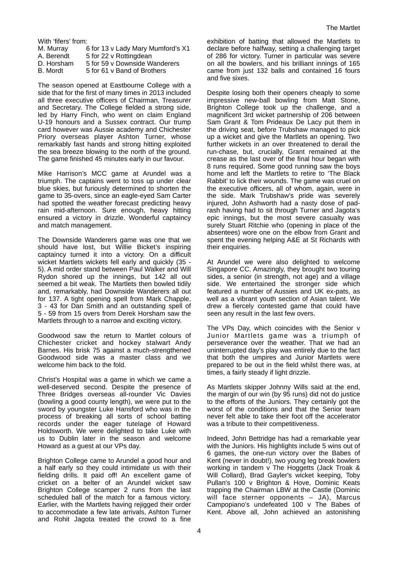With 'fifers' from:

| 6 for 13 v Lady Mary Mumford's X1 |
|-----------------------------------|
| 5 for 22 v Rottingdean            |
| 5 for 59 v Downside Wanderers     |
| 5 for 61 v Band of Brothers       |
|                                   |

The season opened at Eastbourne College with a side that for the first of many times in 2013 included all three executive officers of Chairman, Treasurer and Secretary. The College fielded a strong side, led by Harry Finch, who went on claim England U-19 honours and a Sussex contract. Our trump card however was Aussie academy and Chichester Priory overseas player Ashton Turner, whose remarkably fast hands and strong hitting exploited the sea breeze blowing to the north of the ground. The game finished 45 minutes early in our favour.

Mike Harrison's MCC game at Arundel was a triumph. The captains went to toss up under clear blue skies, but furiously determined to shorten the game to 35-overs, since an eagle-eyed Sam Carter had spotted the weather forecast predicting heavy rain mid-afternoon. Sure enough, heavy hitting ensured a victory in drizzle. Wonderful captaincy and match management.

The Downside Wanderers game was one that we should have lost, but Willie Bicket's inspiring captaincy turned it into a victory. On a difficult wicket Martlets wickets fell early and quickly (35 - 5). A mid order stand between Paul Walker and Will Rydon shored up the innings, but 142 all out seemed a bit weak. The Martlets then bowled tidily and, remarkably, had Downside Wanderers all out for 137. A tight opening spell from Mark Chapple, 3 - 43 for Dan Smith and an outstanding spell of 5 - 59 from 15 overs from Derek Horsham saw the Martlets through to a narrow and exciting victory.

Goodwood saw the return to Martlet colours of Chichester cricket and hockey stalwart Andy Barnes. His brisk 75 against a much-strengthened Goodwood side was a master class and we welcome him back to the fold.

Christ's Hospital was a game in which we came a well-deserved second. Despite the presence of Three Bridges overseas all-rounder Vic Davies (bowling a good county length), we were put to the sword by youngster Luke Hansford who was in the process of breaking all sorts of school batting records under the eager tutelage of Howard Holdsworth. We were delighted to take Luke with us to Dublin later in the season and welcome Howard as a guest at our VPs day.

Brighton College came to Arundel a good hour and a half early so they could intimidate us with their fielding drills. It paid off! An excellent game of cricket on a belter of an Arundel wicket saw Brighton College scamper 2 runs from the last scheduled ball of the match for a famous victory. Earlier, with the Martlets having rejigged their order to accommodate a few late arrivals, Ashton Turner and Rohit Jagota treated the crowd to a fine

exhibition of batting that allowed the Martlets to declare before halfway, setting a challenging target of 286 for victory. Turner in particular was severe on all the bowlers, and his brilliant innings of 165 came from just 132 balls and contained 16 fours and five sixes.

Despite losing both their openers cheaply to some impressive new-ball bowling from Matt Stone, Brighton College took up the challenge, and a magnificent 3rd wicket partnership of 206 between Sam Grant & Tom Prideaux De Lacy put them in the driving seat, before Trubshaw managed to pick up a wicket and give the Martlets an opening. Two further wickets in an over threatened to derail the run-chase, but, crucially, Grant remained at the crease as the last over of the final hour began with 8 runs required. Some good running saw the boys home and left the Martlets to retire to 'The Black Rabbit' to lick their wounds. The game was cruel on the executive officers, all of whom, again, were in the side. Mark Trubshaw's pride was severely injured, John Ashworth had a nasty dose of padrash having had to sit through Turner and Jagota's epic innings, but the most severe casualty was surely Stuart Ritchie who (opening in place of the absentees) wore one on the elbow from Grant and spent the evening helping A&E at St Richards with their enquiries.

At Arundel we were also delighted to welcome Singapore CC. Amazingly, they brought two touring sides, a senior (in strength, not age) and a village side. We entertained the stronger side which featured a number of Aussies and UK ex-pats, as well as a vibrant youth section of Asian talent. We drew a fiercely contested game that could have seen any result in the last few overs.

The VPs Day, which coincides with the Senior v Junior Martlets game was a triumph of perseverance over the weather. That we had an uninterrupted day's play was entirely due to the fact that both the umpires and Junior Martlets were prepared to be out in the field whilst there was, at times, a fairly steady if light drizzle.

As Martlets skipper Johnny Wills said at the end, the margin of our win (by 95 runs) did not do justice to the efforts of the Juniors. They certainly got the worst of the conditions and that the Senior team never felt able to take their foot off the accelerator was a tribute to their competitiveness.

Indeed, John Bettridge has had a remarkable year with the Juniors. His highlights include 5 wins out of 6 games, the one-run victory over the Babes of Kent (never in doubt!), two young leg break bowlers working in tandem v The Hoggetts (Jack Troak & Will Collard), Brad Gayler's wicket keeping, Toby Pullan's 100 v Brighton & Hove, Dominic Keats trapping the Chairman LBW at the Castle (Dominic will face sterner opponents – JA), Marcus Campopiano's undefeated 100 v The Babes of Kent. Above all, John achieved an astonishing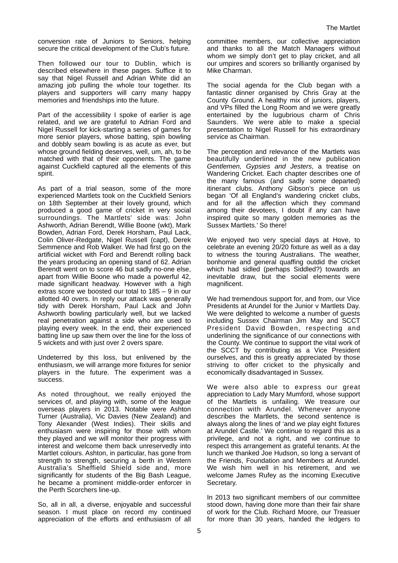conversion rate of Juniors to Seniors, helping secure the critical development of the Club's future.

Then followed our tour to Dublin, which is described elsewhere in these pages. Suffice it to say that Nigel Russell and Adrian White did an amazing job pulling the whole tour together. Its players and supporters will carry many happy memories and friendships into the future.

Part of the accessibility I spoke of earlier is age related, and we are grateful to Adrian Ford and Nigel Russell for kick-starting a series of games for more senior players, whose batting, spin bowling and dobbly seam bowling is as acute as ever, but whose ground fielding deserves, well, um, ah, to be matched with that of their opponents. The game against Cuckfield captured all the elements of this spirit.

As part of a trial season, some of the more experienced Martlets took on the Cuckfield Seniors on 18th September at their lovely ground, which produced a good game of cricket in very social surroundings. The Martlets' side was: John Ashworth, Adrian Berendt, Willie Boone (wkt), Mark Bowden, Adrian Ford, Derek Horsham, Paul Lack, Colin Oliver-Redgate, Nigel Russell (capt), Derek Semmence and Rob Walker. We had first go on the artificial wicket with Ford and Berendt rolling back the years producing an opening stand of 62. Adrian Berendt went on to score 46 but sadly no-one else, apart from Willie Boone who made a powerful 42, made significant headway. However with a high extras score we boosted our total to 185 – 9 in our allotted 40 overs. In reply our attack was generally tidy with Derek Horsham, Paul Lack and John Ashworth bowling particularly well, but we lacked real penetration against a side who are used to playing every week. In the end, their experienced batting line up saw them over the line for the loss of 5 wickets and with just over 2 overs spare.

Undeterred by this loss, but enlivened by the enthusiasm, we will arrange more fixtures for senior players in the future. The experiment was a success.

As noted throughout, we really enjoyed the services of, and playing with, some of the league overseas players in 2013. Notable were Ashton Turner (Australia), Vic Davies (New Zealand) and Tony Alexander (West Indies). Their skills and enthusiasm were inspiring for those with whom they played and we will monitor their progress with interest and welcome them back unreservedly into Martlet colours. Ashton, in particular, has gone from strength to strength, securing a berth in Western Australia's Sheffield Shield side and, more significantly for students of the Big Bash League, he became a prominent middle-order enforcer in the Perth Scorchers line-up.

So, all in all, a diverse, enjoyable and successful season. I must place on record my continued appreciation of the efforts and enthusiasm of all committee members, our collective appreciation and thanks to all the Match Managers without whom we simply don't get to play cricket, and all our umpires and scorers so brilliantly organised by Mike Charman.

The social agenda for the Club began with a fantastic dinner organised by Chris Gray at the County Ground. A healthy mix of juniors, players, and VPs filled the Long Room and we were greatly entertained by the lugubrious charm of Chris Saunders. We were able to make a special presentation to Nigel Russell for his extraordinary service as Chairman.

The perception and relevance of the Martlets was beautifully underlined in the new publication Gentlemen, Gypsies and Jesters, a treatise on Wandering Cricket. Each chapter describes one of the many famous (and sadly some departed) itinerant clubs. Anthony Gibson's piece on us began 'Of all England's wandering cricket clubs, and for all the affection which they command among their devotees, I doubt if any can have inspired quite so many golden memories as the Sussex Martlets.' So there!

We enjoyed two very special days at Hove, to celebrate an evening 20/20 fixture as well as a day to witness the touring Australians. The weather, bonhomie and general quaffing outdid the cricket which had sidled (perhaps Siddled?) towards an inevitable draw, but the social elements were magnificent.

We had tremendous support for, and from, our Vice Presidents at Arundel for the Junior v Martlets Day. We were delighted to welcome a number of guests including Sussex Chairman Jim May and SCCT President David Bowden, respecting and underlining the significance of our connections with the County. We continue to support the vital work of the SCCT by contributing as a Vice President ourselves, and this is greatly appreciated by those striving to offer cricket to the physically and economically disadvantaged in Sussex.

We were also able to express our great appreciation to Lady Mary Mumford, whose support of the Martlets is unfailing. We treasure our connection with Arundel. Whenever anyone describes the Martlets, the second sentence is always along the lines of 'and we play eight fixtures at Arundel Castle.' We continue to regard this as a privilege, and not a right, and we continue to respect this arrangement as grateful tenants. At the lunch we thanked Joe Hudson, so long a servant of the Friends, Foundation and Members at Arundel. We wish him well in his retirement, and we welcome James Rufey as the incoming Executive Secretary.

In 2013 two significant members of our committee stood down, having done more than their fair share of work for the Club. Richard Moore, our Treasuer for more than 30 years, handed the ledgers to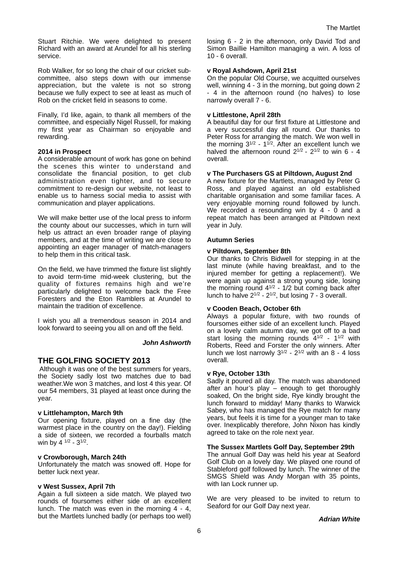Stuart Ritchie. We were delighted to present Richard with an award at Arundel for all his sterling service.

Rob Walker, for so long the chair of our cricket subcommittee, also steps down with our immense appreciation, but the valete is not so strong because we fully expect to see at least as much of Rob on the cricket field in seasons to come.

Finally, I'd like, again, to thank all members of the committee, and especially Nigel Russell, for making my first year as Chairman so enjoyable and rewarding.

#### **2014 in Prospect**

A considerable amount of work has gone on behind the scenes this winter to understand and consolidate the financial position, to get club administration even tighter, and to secure commitment to re-design our website, not least to enable us to harness social media to assist with communication and player applications.

We will make better use of the local press to inform the county about our successes, which in turn will help us attract an even broader range of playing members, and at the time of writing we are close to appointing an eager manager of match-managers to help them in this critical task.

On the field, we have trimmed the fixture list slightly to avoid term-time mid-week clustering, but the quality of fixtures remains high and we're particularly delighted to welcome back the Free Foresters and the Eton Ramblers at Arundel to maintain the tradition of excellence.

I wish you all a tremendous season in 2014 and look forward to seeing you all on and off the field.

#### **John Ashworth**

# **THE GOLFING SOCIETY 2013**

 Although it was one of the best summers for years, the Society sadly lost two matches due to bad weather.We won 3 matches, and lost 4 this year. Of our 54 members, 31 played at least once during the year.

#### **v Littlehampton, March 9th**

Our opening fixture, played on a fine day (the warmest place in the country on the day!). Fielding a side of sixteen, we recorded a fourballs match win by  $4^{1/2} - 3^{1/2}$ .

#### **v Crowborough, March 24th**

Unfortunately the match was snowed off. Hope for better luck next year.

#### **v West Sussex, April 7th**

Again a full sixteen a side match. We played two rounds of foursomes either side of an excellent lunch. The match was even in the morning 4 - 4, but the Martlets lunched badly (or perhaps too well)

losing 6 - 2 in the afternoon, only David Tod and Simon Baillie Hamilton managing a win. A loss of 10 - 6 overall.

#### **v Royal Ashdown, April 21st**

On the popular Old Course, we acquitted ourselves well, winning 4 - 3 in the morning, but going down 2 - 4 in the afternoon round (no halves) to lose narrowly overall 7 - 6.

#### **v Littlestone, April 28th**

A beautiful day for our first fixture at Littlestone and a very successful day all round. Our thanks to Peter Ross for arranging the match. We won well in the morning  $3^{1/2}$  -  $1^{1/2}$ . After an excellent lunch we halved the afternoon round  $2^{1/2}$  -  $2^{1/2}$  to win 6 - 4 overall.

#### **v The Purchasers GS at Piltdown, August 2nd**

A new fixture for the Martlets, managed by Peter G Ross, and played against an old established charitable organisation and some familiar faces. A very enjoyable morning round followed by lunch. We recorded a resounding win by  $4 - 0$  and a repeat match has been arranged at Piltdown next year in July.

#### **Autumn Series**

#### **v Piltdown, September 8th**

Our thanks to Chris Bidwell for stepping in at the last minute (while having breakfast, and to the injured member for getting a replacement!). We were again up against a strong young side, losing the morning round 4<sup>1/2</sup> - 1/2 but coming back after lunch to halve  $2^{1/2}$  -  $2^{1/2}$ , but losing  $7 - 3$  overall.

#### **v Cooden Beach, October 6th**

Always a popular fixture, with two rounds of foursomes either side of an excellent lunch. Played on a lovely calm autumn day, we got off to a bad start losing the morning rounds  $4^{1/2}$  - 1<sup>1/2</sup> with Roberts, Reed and Forster the only winners. After lunch we lost narrowly  $3^{1/2}$  -  $2^{1/2}$  with an 8 - 4 loss overall.

#### **v Rye, October 13th**

Sadly it poured all day. The match was abandoned after an hour's play – enough to get thoroughly soaked, On the bright side, Rye kindly brought the lunch forward to midday! Many thanks to Warwick Sabey, who has managed the Rye match for many years, but feels it is time for a younger man to take over. Inexplicably therefore, John Nixon has kindly agreed to take on the role next year.

#### **The Sussex Martlets Golf Day, September 29th**

The annual Golf Day was held his year at Seaford Golf Club on a lovely day. We played one round of Stableford golf followed by lunch. The winner of the SMGS Shield was Andy Morgan with 35 points, with Ian Lock runner up.

We are very pleased to be invited to return to Seaford for our Golf Day next year.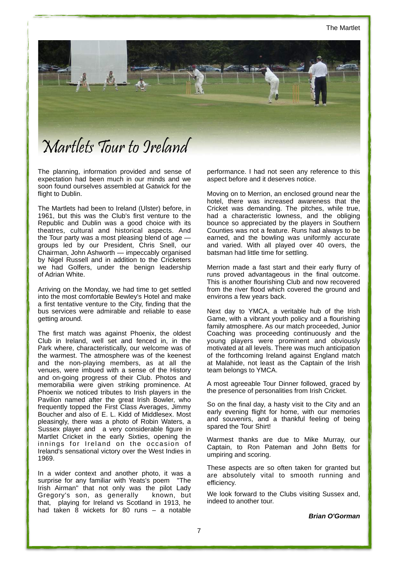The Martlet



The planning, information provided and sense of expectation had been much in our minds and we soon found ourselves assembled at Gatwick for the flight to Dublin.

The Martlets had been to Ireland (Ulster) before, in 1961, but this was the Club's first venture to the Republic and Dublin was a good choice with its theatres, cultural and historical aspects. And the Tour party was a most pleasing blend of age groups led by our President, Chris Snell, our Chairman, John Ashworth — impeccably organised by Nigel Russell and in addition to the Cricketers we had Golfers, under the benign leadership of Adrian White.

Arriving on the Monday, we had time to get settled into the most comfortable Bewley's Hotel and make a first tentative venture to the City, finding that the bus services were admirable and reliable to ease getting around.

The first match was against Phoenix, the oldest Club in Ireland, well set and fenced in, in the Park where, characteristically, our welcome was of the warmest. The atmosphere was of the keenest and the non-playing members, as at all the venues, were imbued with a sense of the History and on-going progress of their Club. Photos and memorabilia were given striking prominence. At Phoenix we noticed tributes to Irish players in the Pavilion named after the great Irish Bowler, who frequently topped the First Class Averages, Jimmy Boucher and also of E. L. Kidd of Middlesex. Most pleasingly, there was a photo of Robin Waters, a Sussex player and a very considerable figure in Martlet Cricket in the early Sixties, opening the innings for Ireland on the occasion of Ireland's sensational victory over the West Indies in 1969.

In a wider context and another photo, it was a surprise for any familiar with Yeats's poem ''The Irish Airman'' that not only was the pilot Lady Gregory's son, as generally known, but that, playing for Ireland vs Scotland in 1913, he had taken 8 wickets for 80 runs – a notable performance. I had not seen any reference to this aspect before and it deserves notice.

Moving on to Merrion, an enclosed ground near the hotel, there was increased awareness that the Cricket was demanding. The pitches, while true, had a characteristic lowness, and the obliging bounce so appreciated by the players in Southern Counties was not a feature. Runs had always to be earned, and the bowling was uniformly accurate and varied. With all played over 40 overs, the batsman had little time for settling.

Merrion made a fast start and their early flurry of runs proved advantageous in the final outcome. This is another flourishing Club and now recovered from the river flood which covered the ground and environs a few years back.

Next day to YMCA, a veritable hub of the Irish Game, with a vibrant youth policy and a flourishing family atmosphere. As our match proceeded, Junior Coaching was proceeding continuously and the young players were prominent and obviously motivated at all levels. There was much anticipation of the forthcoming Ireland against England match at Malahide, not least as the Captain of the Irish team belongs to YMCA.

A most agreeable Tour Dinner followed, graced by the presence of personalities from Irish Cricket.

So on the final day, a hasty visit to the City and an early evening flight for home, with our memories and souvenirs, and a thankful feeling of being spared the Tour Shirt!

Warmest thanks are due to Mike Murray, our Captain, to Ron Pateman and John Betts for umpiring and scoring.

These aspects are so often taken for granted but are absolutely vital to smooth running and efficiency.

We look forward to the Clubs visiting Sussex and, indeed to another tour.

**Brian O'Gorman**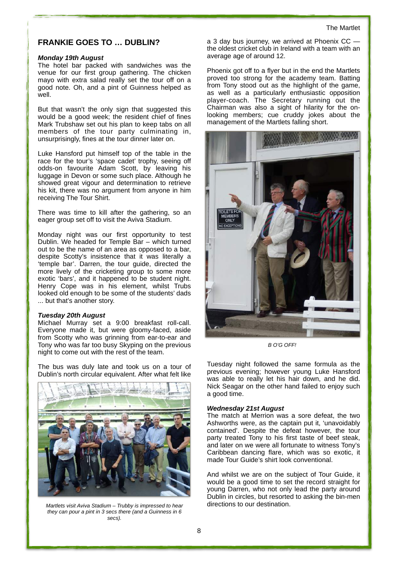# **FRANKIE GOES TO … DUBLIN?**

#### **Monday 19th August**

The hotel bar packed with sandwiches was the venue for our first group gathering. The chicken mayo with extra salad really set the tour off on a good note. Oh, and a pint of Guinness helped as well.

But that wasn't the only sign that suggested this would be a good week; the resident chief of fines Mark Trubshaw set out his plan to keep tabs on all members of the tour party culminating in, unsurprisingly, fines at the tour dinner later on.

Luke Hansford put himself top of the table in the race for the tour's 'space cadet' trophy, seeing off odds-on favourite Adam Scott, by leaving his luggage in Devon or some such place. Although he showed great vigour and determination to retrieve his kit, there was no argument from anyone in him receiving The Tour Shirt.

There was time to kill after the gathering, so an eager group set off to visit the Aviva Stadium.

Monday night was our first opportunity to test Dublin. We headed for Temple Bar – which turned out to be the name of an area as opposed to a bar, despite Scotty's insistence that it was literally a 'temple bar'. Darren, the tour guide, directed the more lively of the cricketing group to some more exotic 'bars', and it happened to be student night. Henry Cope was in his element, whilst Trubs looked old enough to be some of the students' dads ... but that's another story.

#### **Tuesday 20th August**

Michael Murray set a 9:00 breakfast roll-call. Everyone made it, but were gloomy-faced, aside from Scotty who was grinning from ear-to-ear and Tony who was far too busy Skyping on the previous night to come out with the rest of the team.

The bus was duly late and took us on a tour of Dublin's north circular equivalent. After what felt like



Martlets visit Aviva Stadium – Trubby is impressed to hear they can pour a pint in 3 secs there (and a Guinness in 6 secs).

a 3 day bus journey, we arrived at Phoenix CC the oldest cricket club in Ireland with a team with an average age of around 12.

Phoenix got off to a flyer but in the end the Martlets proved too strong for the academy team. Batting from Tony stood out as the highlight of the game, as well as a particularly enthusiastic opposition player-coach. The Secretary running out the Chairman was also a sight of hilarity for the onlooking members; cue cruddy jokes about the management of the Martlets falling short.



B O'G OFF!

Tuesday night followed the same formula as the previous evening; however young Luke Hansford was able to really let his hair down, and he did. Nick Seagar on the other hand failed to enjoy such a good time.

#### **Wednesday 21st August**

The match at Merrion was a sore defeat, the two Ashworths were, as the captain put it, 'unavoidably contained'. Despite the defeat however, the tour party treated Tony to his first taste of beef steak, and later on we were all fortunate to witness Tony's Caribbean dancing flare, which was so exotic, it made Tour Guide's shirt look conventional.

And whilst we are on the subject of Tour Guide, it would be a good time to set the record straight for young Darren, who not only lead the party around Dublin in circles, but resorted to asking the bin-men directions to our destination.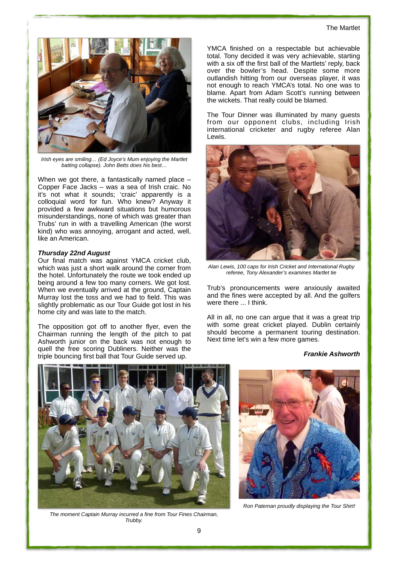#### The Martlet



Irish eyes are smiling… (Ed Joyce's Mum enjoying the Martlet batting collapse). John Betts does his best…

When we got there, a fantastically named place – Copper Face Jacks – was a sea of Irish craic. No it's not what it sounds; 'craic' apparently is a colloquial word for fun. Who knew? Anyway it provided a few awkward situations but humorous misunderstandings, none of which was greater than Trubs' run in with a travelling American (the worst kind) who was annoying, arrogant and acted, well, like an American.

#### **Thursday 22nd August**

Our final match was against YMCA cricket club, which was just a short walk around the corner from the hotel. Unfortunately the route we took ended up being around a few too many corners. We got lost. When we eventually arrived at the ground, Captain Murray lost the toss and we had to field. This was slightly problematic as our Tour Guide got lost in his home city and was late to the match.

The opposition got off to another flyer, even the Chairman running the length of the pitch to pat Ashworth junior on the back was not enough to quell the free scoring Dubliners. Neither was the triple bouncing first ball that Tour Guide served up.

YMCA finished on a respectable but achievable total. Tony decided it was very achievable, starting with a six off the first ball of the Martlets' reply, back over the bowler's head. Despite some more outlandish hitting from our overseas player, it was not enough to reach YMCA's total. No one was to blame. Apart from Adam Scott's running between the wickets. That really could be blamed.

The Tour Dinner was illuminated by many guests from our opponent clubs, including Irish international cricketer and rugby referee Alan Lewis.



Alan Lewis, 100 caps for Irish Cricket and International Rugby referee, Tony Alexander's examines Martlet tie

Trub's pronouncements were anxiously awaited and the fines were accepted by all. And the golfers were there ... I think.

All in all, no one can argue that it was a great trip with some great cricket played. Dublin certainly should become a permanent touring destination. Next time let's win a few more games.

#### **Frankie Ashworth**



The moment Captain Murray incurred a fine from Tour Fines Chairman, Trubby.



Ron Pateman proudly displaying the Tour Shirt!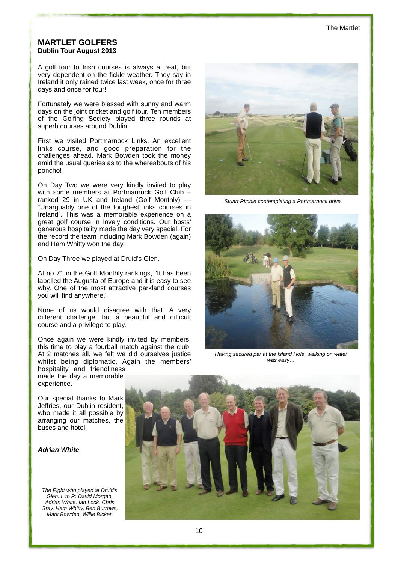# **MARTLET GOLFERS Dublin Tour August 2013**

A golf tour to Irish courses is always a treat, but very dependent on the fickle weather. They say in Ireland it only rained twice last week, once for three days and once for four!

Fortunately we were blessed with sunny and warm days on the joint cricket and golf tour. Ten members of the Golfing Society played three rounds at superb courses around Dublin.

First we visited Portmarnock Links. An excellent links course, and good preparation for the challenges ahead. Mark Bowden took the money amid the usual queries as to the whereabouts of his poncho!

On Day Two we were very kindly invited to play with some members at Portmarnock Golf Club ranked 29 in UK and Ireland (Golf Monthly) — "Unarguably one of the toughest links courses in Ireland". This was a memorable experience on a great golf course in lovely conditions. Our hosts' generous hospitality made the day very special. For the record the team including Mark Bowden (again) and Ham Whitty won the day.

On Day Three we played at Druid's Glen.

At no 71 in the Golf Monthly rankings, "It has been labelled the Augusta of Europe and it is easy to see why. One of the most attractive parkland courses you will find anywhere."

None of us would disagree with that. A very different challenge, but a beautiful and difficult course and a privilege to play.

Once again we were kindly invited by members, this time to play a fourball match against the club. At 2 matches all, we felt we did ourselves justice whilst being diplomatic. Again the members'

hospitality and friendliness made the day a memorable experience.

Our special thanks to Mark Jeffries, our Dublin resident, who made it all possible by arranging our matches, the buses and hotel.

#### **Adrian White**

The Eight who played at Druid's Glen. L to R: David Morgan, Adrian White, Ian Lock, Chris Gray, Ham Whitty, Ben Burrows, Mark Bowden, Willie Bicket.



Stuart Ritchie contemplating a Portmarnock drive.



Having secured par at the Island Hole, walking on water was easy…

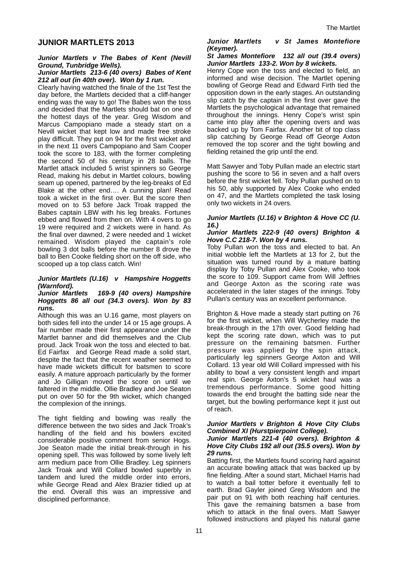# **JUNIOR MARTLETS 2013**

#### **Junior Martlets v The Babes of Kent (Nevill Ground, Tunbridge Wells).**

#### **Junior Martlets 213-6 (40 overs) Babes of Kent 212 all out (in 40th over). Won by 1 run.**

Clearly having watched the finale of the 1st Test the day before, the Martlets decided that a cliff-hanger ending was the way to go! The Babes won the toss and decided that the Martlets should bat on one of the hottest days of the year. Greg Wisdom and Marcus Campopiano made a steady start on a Nevill wicket that kept low and made free stroke play difficult. They put on 94 for the first wicket and in the next 11 overs Campopiano and Sam Cooper took the score to 183, with the former completing the second 50 of his century in 28 balls. The Martlet attack included 5 wrist spinners so George Read, making his debut in Martlet colours, bowling seam up opened, partnered by the leg-breaks of Ed Blake at the other end…. A cunning plan! Read took a wicket in the first over. But the score then moved on to 53 before Jack Troak trapped the Babes captain LBW with his leg breaks. Fortunes ebbed and flowed from then on. With 4 overs to go 19 were required and 2 wickets were in hand. As the final over dawned, 2 were needed and 1 wicket remained. Wisdom played the captain's role bowling 3 dot balls before the number 8 drove the ball to Ben Cooke fielding short on the off side, who scooped up a top class catch. Win!

#### **Junior Martlets (U.16) v Hampshire Hoggetts (Warnford).**

#### **Junior Martlets 169-9 (40 overs) Hampshire Hoggetts 86 all out (34.3 overs). Won by 83 runs.**

Although this was an U.16 game, most players on both sides fell into the under 14 or 15 age groups. A fair number made their first appearance under the Martlet banner and did themselves and the Club proud. Jack Troak won the toss and elected to bat. Ed Fairfax and George Read made a solid start, despite the fact that the recent weather seemed to have made wickets difficult for batsmen to score easily. A mature approach particularly by the former and Jo Gilligan moved the score on until we faltered in the middle. Ollie Bradley and Joe Seaton put on over 50 for the 9th wicket, which changed the complexion of the innings.

The tight fielding and bowling was really the difference between the two sides and Jack Troak's handling of the field and his bowlers excited considerable positive comment from senior Hogs. Joe Seaton made the initial break-through in his opening spell. This was followed by some lively left arm medium pace from Ollie Bradley. Leg spinners Jack Troak and Will Collard bowled superbly in tandem and lured the middle order into errors, while George Read and Alex Brazier tidied up at the end. Overall this was an impressive and disciplined performance.

#### **Junior Martlets v St James Montefiore (Keymer).**

#### **St James Montefiore 132 all out (39.4 overs) Junior Martlets 133-2. Won by 8 wickets.**

Henry Cope won the toss and elected to field, an informed and wise decision. The Martlet opening bowling of George Read and Edward Firth tied the opposition down in the early stages. An outstanding slip catch by the captain in the first over gave the Martlets the psychological advantage that remained throughout the innings. Henry Cope's wrist spin came into play after the opening overs and was backed up by Tom Fairfax. Another bit of top class slip catching by George Read off George Axton removed the top scorer and the tight bowling and fielding retained the grip until the end.

Matt Sawyer and Toby Pullan made an electric start pushing the score to 56 in seven and a half overs before the first wicket fell. Toby Pullan pushed on to his 50, ably supported by Alex Cooke who ended on 47, and the Martlets completed the task losing only two wickets in 24 overs.

#### **Junior Martlets (U.16) v Brighton & Hove CC (U. 16.)**

#### **Junior Martlets 222-9 (40 overs) Brighton & Hove C.C 218-7. Won by 4 runs.**

Toby Pullan won the toss and elected to bat. An initial wobble left the Martlets at 13 for 2, but the situation was turned round by a mature batting display by Toby Pullan and Alex Cooke, who took the score to 109. Support came from Will Jeffries and George Axton as the scoring rate was accelerated in the later stages of the innings. Toby Pullan's century was an excellent performance.

Brighton & Hove made a steady start putting on 76 for the first wicket, when Will Wycherley made the break-through in the 17th over. Good fielding had kept the scoring rate down, which was to put pressure on the remaining batsmen. Further pressure was applied by the spin attack, particularly leg spinners George Axton and Will Collard. 13 year old Will Collard impressed with his ability to bowl a very consistent length and impart real spin. George Axton's 5 wicket haul was a tremendous performance. Some good hitting towards the end brought the batting side near the target, but the bowling performance kept it just out of reach.

#### **Junior Martlets v Brighton & Hove City Clubs Combined XI (Hurstpierpoint College). Junior Martlets 221-4 (40 overs). Brighton & Hove City Clubs 192 all out (35.5 overs). Won by 29 runs.**

Batting first, the Martlets found scoring hard against an accurate bowling attack that was backed up by fine fielding. After a sound start, Michael Harris had to watch a bail totter before it eventually fell to earth. Brad Gayler joined Greg Wisdom and the pair put on 91 with both reaching half centuries. This gave the remaining batsmen a base from which to attack in the final overs. Matt Sawyer followed instructions and played his natural game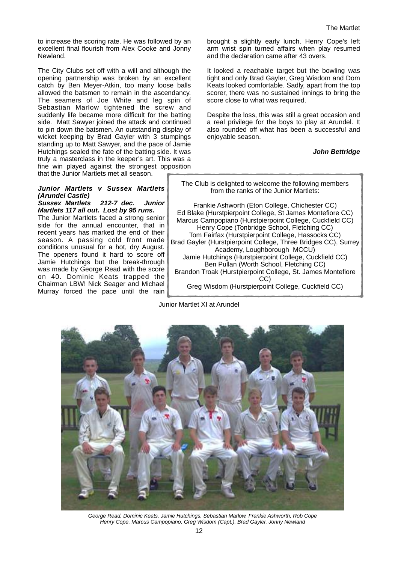to increase the scoring rate. He was followed by an excellent final flourish from Alex Cooke and Jonny Newland.

The City Clubs set off with a will and although the opening partnership was broken by an excellent catch by Ben Meyer-Atkin, too many loose balls allowed the batsmen to remain in the ascendancy. The seamers of Joe White and leg spin of Sebastian Marlow tightened the screw and suddenly life became more difficult for the batting side. Matt Sawyer joined the attack and continued to pin down the batsmen. An outstanding display of wicket keeping by Brad Gayler with 3 stumpings standing up to Matt Sawyer, and the pace of Jamie Hutchings sealed the fate of the batting side. It was truly a masterclass in the keeper's art. This was a fine win played against the strongest opposition that the Junior Martlets met all season.

#### **Junior Martlets v Sussex Martlets (Arundel Castle)**

**Sussex Martlets 212-7 dec. Junior Martlets 117 all out. Lost by 95 runs.**  The Junior Martlets faced a strong senior side for the annual encounter, that in recent years has marked the end of their season. A passing cold front made conditions unusual for a hot, dry August. The openers found it hard to score off Jamie Hutchings but the break-through was made by George Read with the score on 40. Dominic Keats trapped the Chairman LBW! Nick Seager and Michael

Murray forced the pace until the rain

brought a slightly early lunch. Henry Cope's left arm wrist spin turned affairs when play resumed and the declaration came after 43 overs.

It looked a reachable target but the bowling was tight and only Brad Gayler, Greg Wisdom and Dom Keats looked comfortable. Sadly, apart from the top scorer, there was no sustained innings to bring the score close to what was required.

Despite the loss, this was still a great occasion and a real privilege for the boys to play at Arundel. It also rounded off what has been a successful and enjoyable season.

# **John Bettridge**

The Club is delighted to welcome the following members from the ranks of the Junior Martlets:

Frankie Ashworth (Eton College, Chichester CC) Ed Blake (Hurstpierpoint College, St James Montefiore CC) Marcus Campopiano (Hurstpierpoint College, Cuckfield CC) Henry Cope (Tonbridge School, Fletching CC) Tom Fairfax (Hurstpierpoint College, Hassocks CC) Brad Gayler (Hurstpierpoint College, Three Bridges CC), Surrey Academy, Loughborough MCCU) Jamie Hutchings (Hurstpierpoint College, Cuckfield CC) Ben Pullan (Worth School, Fletching CC) Brandon Troak (Hurstpierpoint College, St. James Montefiore CC) Greg Wisdom (Hurstpierpoint College, Cuckfield CC)

Junior Martlet XI at Arundel



George Read, Dominic Keats, Jamie Hutchings, Sebastian Marlow, Frankie Ashworth, Rob Cope Henry Cope, Marcus Campopiano, Greg Wisdom (Capt.), Brad Gayler, Jonny Newland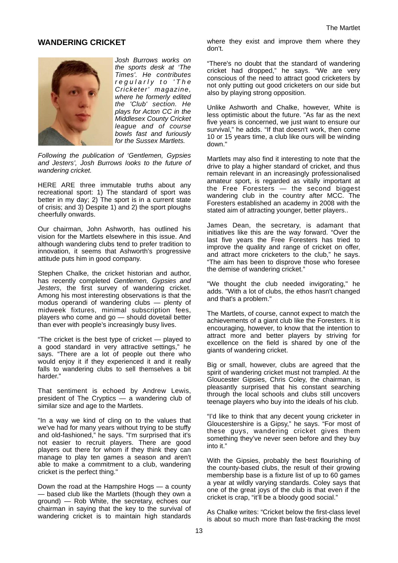# **WANDERING CRICKET**



Josh Burrows works on the sports desk at 'The Times'. He contributes regularly to 'The Cricketer' magazine, where he formerly edited the 'Club' section. He plays for Acton CC in the Middlesex County Cricket league and of course bowls fast and furiously for the Sussex Martlets.

Following the publication of 'Gentlemen, Gypsies and Jesters', Josh Burrows looks to the future of wandering cricket.

HERE ARE three immutable truths about any recreational sport: 1) The standard of sport was better in my day; 2) The sport is in a current state of crisis; and 3) Despite 1) and 2) the sport ploughs cheerfully onwards.

Our chairman, John Ashworth, has outlined his vision for the Martlets elsewhere in this issue. And although wandering clubs tend to prefer tradition to innovation, it seems that Ashworth's progressive attitude puts him in good company.

Stephen Chalke, the cricket historian and author, has recently completed Gentlemen, Gypsies and Jesters, the first survey of wandering cricket. Among his most interesting observations is that the modus operandi of wandering clubs — plenty of midweek fixtures, minimal subscription fees, players who come and go — should dovetail better than ever with people's increasingly busy lives.

"The cricket is the best type of cricket — played to a good standard in very attractive settings," he says. "There are a lot of people out there who would enjoy it if they experienced it and it really falls to wandering clubs to sell themselves a bit harder."

That sentiment is echoed by Andrew Lewis, president of The Cryptics — a wandering club of similar size and age to the Martlets.

"In a way we kind of cling on to the values that we've had for many years without trying to be stuffy and old-fashioned," he says. "I'm surprised that it's not easier to recruit players. There are good players out there for whom if they think they can manage to play ten games a season and aren't able to make a commitment to a club, wandering cricket is the perfect thing."

Down the road at the Hampshire Hogs — a county — based club like the Martlets (though they own a ground) — Rob White, the secretary, echoes our chairman in saying that the key to the survival of wandering cricket is to maintain high standards

where they exist and improve them where they don't.

"There's no doubt that the standard of wandering cricket had dropped," he says. "We are very conscious of the need to attract good cricketers by not only putting out good cricketers on our side but also by playing strong opposition.

Unlike Ashworth and Chalke, however, White is less optimistic about the future. "As far as the next five years is concerned, we just want to ensure our survival," he adds. "If that doesn't work, then come 10 or 15 years time, a club like ours will be winding down."

Martlets may also find it interesting to note that the drive to play a higher standard of cricket, and thus remain relevant in an increasingly professionalised amateur sport, is regarded as vitally important at the Free Foresters — the second biggest wandering club in the country after MCC. The Foresters established an academy in 2008 with the stated aim of attracting younger, better players..

James Dean, the secretary, is adamant that initiatives like this are the way forward. "Over the last five years the Free Foresters has tried to improve the quality and range of cricket on offer, and attract more cricketers to the club," he says. "The aim has been to disprove those who foresee the demise of wandering cricket."

"We thought the club needed invigorating," he adds. "With a lot of clubs, the ethos hasn't changed and that's a problem."

The Martlets, of course, cannot expect to match the achievements of a giant club like the Foresters. It is encouraging, however, to know that the intention to attract more and better players by striving for excellence on the field is shared by one of the giants of wandering cricket.

Big or small, however, clubs are agreed that the spirit of wandering cricket must not trampled. At the Gloucester Gipsies, Chris Coley, the chairman, is pleasantly surprised that his constant searching through the local schools and clubs still uncovers teenage players who buy into the ideals of his club.

"I'd like to think that any decent young cricketer in Gloucestershire is a Gipsy," he says. "For most of these guys, wandering cricket gives them something they've never seen before and they buy into it."

With the Gipsies, probably the best flourishing of the county-based clubs, the result of their growing membership base is a fixture list of up to 60 games a year at wildly varying standards. Coley says that one of the great joys of the club is that even if the cricket is crap, "it'll be a bloody good social."

As Chalke writes: "Cricket below the first-class level is about so much more than fast-tracking the most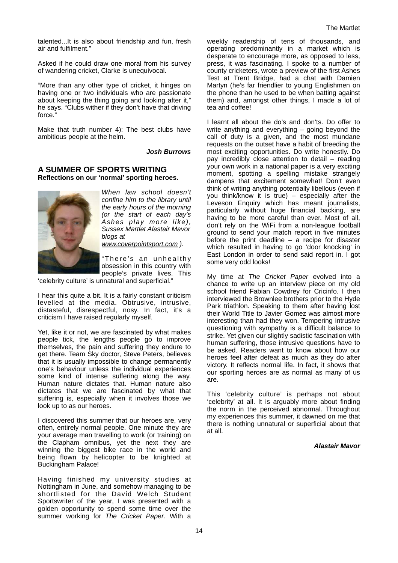talented...It is also about friendship and fun, fresh air and fulfilment."

Asked if he could draw one moral from his survey of wandering cricket, Clarke is unequivocal.

"More than any other type of cricket, it hinges on having one or two individuals who are passionate about keeping the thing going and looking after it," he says. "Clubs wither if they don't have that driving force."

Make that truth number 4): The best clubs have ambitious people at the helm.

#### **Josh Burrows**

# **A SUMMER OF SPORTS WRITING Reflections on our 'normal' sporting heroes.**



When law school doesn't confine him to the library until the early hours of the morning (or the start of each day's Ashes play more like), Sussex Martlet Alastair Mavor blogs at www.coverpointsport.com ).

"There's an unhealthy obsession in this country with people's private lives. This

'celebrity culture' is unnatural and superficial."

I hear this quite a bit. It is a fairly constant criticism levelled at the media. Obtrusive, intrusive, distasteful, disrespectful, nosy. In fact, it's a criticism I have raised regularly myself.

Yet, like it or not, we are fascinated by what makes people tick, the lengths people go to improve themselves, the pain and suffering they endure to get there. Team Sky doctor, Steve Peters, believes that it is usually impossible to change permanently one's behaviour unless the individual experiences some kind of intense suffering along the way. Human nature dictates that. Human nature also dictates that we are fascinated by what that suffering is, especially when it involves those we look up to as our heroes.

I discovered this summer that our heroes are, very often, entirely normal people. One minute they are your average man travelling to work (or training) on the Clapham omnibus, yet the next they are winning the biggest bike race in the world and being flown by helicopter to be knighted at Buckingham Palace!

Having finished my university studies at Nottingham in June, and somehow managing to be shortlisted for the David Welch Student Sportswriter of the year, I was presented with a golden opportunity to spend some time over the summer working for The Cricket Paper. With a

weekly readership of tens of thousands, and operating predominantly in a market which is desperate to encourage more, as opposed to less, press, it was fascinating. I spoke to a number of county cricketers, wrote a preview of the first Ashes Test at Trent Bridge, had a chat with Damien Martyn (he's far friendlier to young Englishmen on the phone than he used to be when batting against them) and, amongst other things, I made a lot of tea and coffee!

I learnt all about the do's and don'ts. Do offer to write anything and everything – going beyond the call of duty is a given, and the most mundane requests on the outset have a habit of breeding the most exciting opportunities. Do write honestly. Do pay incredibly close attention to detail – reading your own work in a national paper is a very exciting moment, spotting a spelling mistake strangely dampens that excitement somewhat! Don't even think of writing anything potentially libellous (even if you think/know it is true) – especially after the Leveson Enquiry which has meant journalists, particularly without huge financial backing, are having to be more careful than ever. Most of all, don't rely on the WiFi from a non-league football ground to send your match report in five minutes before the print deadline – a recipe for disaster which resulted in having to go 'door knocking' in East London in order to send said report in. I got some very odd looks!

My time at The Cricket Paper evolved into a chance to write up an interview piece on my old school friend Fabian Cowdrey for Cricinfo. I then interviewed the Brownlee brothers prior to the Hyde Park triathlon. Speaking to them after having lost their World Title to Javier Gomez was almost more interesting than had they won. Tempering intrusive questioning with sympathy is a difficult balance to strike. Yet given our slightly sadistic fascination with human suffering, those intrusive questions have to be asked. Readers want to know about how our heroes feel after defeat as much as they do after victory. It reflects normal life. In fact, it shows that our sporting heroes are as normal as many of us are.

This 'celebrity culture' is perhaps not about 'celebrity' at all. It is arguably more about finding the norm in the perceived abnormal. Throughout my experiences this summer, it dawned on me that there is nothing unnatural or superficial about that at all.

#### **Alastair Mavor**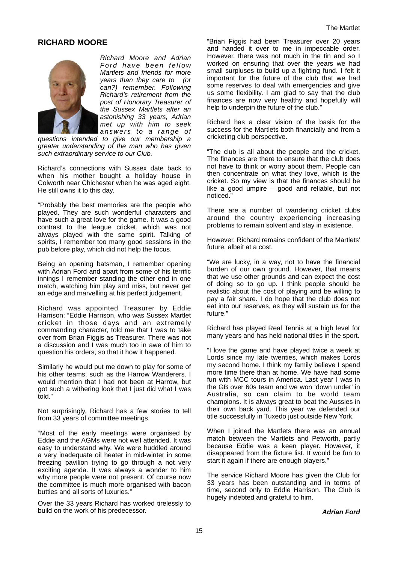# **RICHARD MOORE**



Richard Moore and Adrian Ford have been fellow Martlets and friends for more years than they care to (or can?) remember. Following Richard's retirement from the post of Honorary Treasurer of the Sussex Martlets after an astonishing 33 years, Adrian met up with him to seek answers to a range of

questions intended to give our membership a greater understanding of the man who has given such extraordinary service to our Club.

Richard's connections with Sussex date back to when his mother bought a holiday house in Colworth near Chichester when he was aged eight. He still owns it to this day.

"Probably the best memories are the people who played. They are such wonderful characters and have such a great love for the game. It was a good contrast to the league cricket, which was not always played with the same spirit. Talking of spirits, I remember too many good sessions in the pub before play, which did not help the focus.

Being an opening batsman, I remember opening with Adrian Ford and apart from some of his terrific innings I remember standing the other end in one match, watching him play and miss, but never get an edge and marvelling at his perfect judgement.

Richard was appointed Treasurer by Eddie Harrison: "Eddie Harrison, who was Sussex Martlet cricket in those days and an extremely commanding character, told me that I was to take over from Brian Figgis as Treasurer. There was not a discussion and I was much too in awe of him to question his orders, so that it how it happened.

Similarly he would put me down to play for some of his other teams, such as the Harrow Wanderers. I would mention that I had not been at Harrow, but got such a withering look that I just did what I was told."

Not surprisingly, Richard has a few stories to tell from 33 years of committee meetings.

"Most of the early meetings were organised by Eddie and the AGMs were not well attended. It was easy to understand why. We were huddled around a very inadequate oil heater in mid-winter in some freezing pavilion trying to go through a not very exciting agenda. It was always a wonder to him why more people were not present. Of course now the committee is much more organised with bacon butties and all sorts of luxuries."

Over the 33 years Richard has worked tirelessly to build on the work of his predecessor.

"Brian Figgis had been Treasurer over 20 years and handed it over to me in impeccable order. However, there was not much in the tin and so I worked on ensuring that over the years we had small surpluses to build up a fighting fund. I felt it important for the future of the club that we had some reserves to deal with emergencies and give us some flexibility. I am glad to say that the club finances are now very healthy and hopefully will help to underpin the future of the club."

Richard has a clear vision of the basis for the success for the Martlets both financially and from a cricketing club perspective.

"The club is all about the people and the cricket. The finances are there to ensure that the club does not have to think or worry about them. People can then concentrate on what they love, which is the cricket. So my view is that the finances should be like a good umpire – good and reliable, but not noticed."

There are a number of wandering cricket clubs around the country experiencing increasing problems to remain solvent and stay in existence.

However, Richard remains confident of the Martlets' future, albeit at a cost.

"We are lucky, in a way, not to have the financial burden of our own ground. However, that means that we use other grounds and can expect the cost of doing so to go up. I think people should be realistic about the cost of playing and be willing to pay a fair share. I do hope that the club does not eat into our reserves, as they will sustain us for the future."

Richard has played Real Tennis at a high level for many years and has held national titles in the sport.

"I love the game and have played twice a week at Lords since my late twenties, which makes Lords my second home. I think my family believe I spend more time there than at home. We have had some fun with MCC tours in America. Last year I was in the GB over 60s team and we won 'down under' in Australia, so can claim to be world team champions. It is always great to beat the Aussies in their own back yard. This year we defended our title successfully in Tuxedo just outside New York.

When I joined the Martlets there was an annual match between the Martlets and Petworth, partly because Eddie was a keen player. However, it disappeared from the fixture list. It would be fun to start it again if there are enough players."

The service Richard Moore has given the Club for 33 years has been outstanding and in terms of time, second only to Eddie Harrison. The Club is hugely indebted and grateful to him.